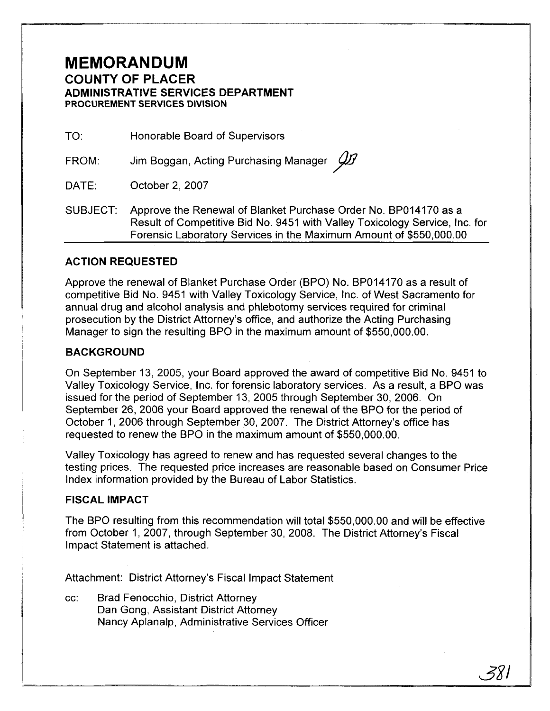# **MEMORANDUM COUNTY OF PLACER ADMINISTRATIVE SERVICES DEPARTMENT PROCUREMENT SERVlCES DlVlSlON**

TO: Honorable Board of Supervisors

FROM: Jim Boggan, Acting Purchasing Manager  $\cancel{\cancel{11}}$ 

DATE: October 2, 2007

SUBJECT: Approve the Renewal of Blanket Purchase Order No. BP014170 as a Result of Competitive Bid No. 9451 with Valley Toxicology Service, Inc. for Forensic Laboratory Services in the Maximum Amount of \$550,000.00

## **ACTION REQUESTED**

Approve the renewal of Blanket Purchase Order (BPO) No. BP014170 as a result of competitive Bid No. 9451 with Valley Toxicology Service, Inc. of West Sacramento for annual drug and alcohol analysis and phlebotomy services required for criminal prosecution by the District Attorney's office, and authorize the Acting Purchasing Manager to sign the resulting BPO in the maximum amount of \$550,000.00.

#### **BACKGROUND**

On September 13, 2005, your Board approved the award of competitive Bid No. 9451 to Valley Toxicology Service, Inc. for forensic laboratory services. As a result, a BPO was issued for the period of September 13, 2005 through September 30, 2006. On September 26, 2006 your Board approved the renewal of the BPO for the period of October I, 2006 through September 30, 2007. The District Attorney's office has requested to renew the BPO in the maximum amount of \$550,000.00.

Valley Toxicology has agreed to renew and has requested several changes to the testing prices. The requested price increases are reasonable based on Consumer Price Index information provided by the Bureau of Labor Statistics.

## **FISCAL IMPACT**

The BPO resulting from this recommendation will total \$550,000.00 and will be effective from October I, 2007, through September 30, 2008. The District Attorney's Fiscal Impact Statement is attached.

Attachment: District Attorney's Fiscal Impact Statement

cc: Brad Fenocchio, District Attorney Dan Gong, Assistant District Attorney Nancy Aplanalp, Administrative Services Officer